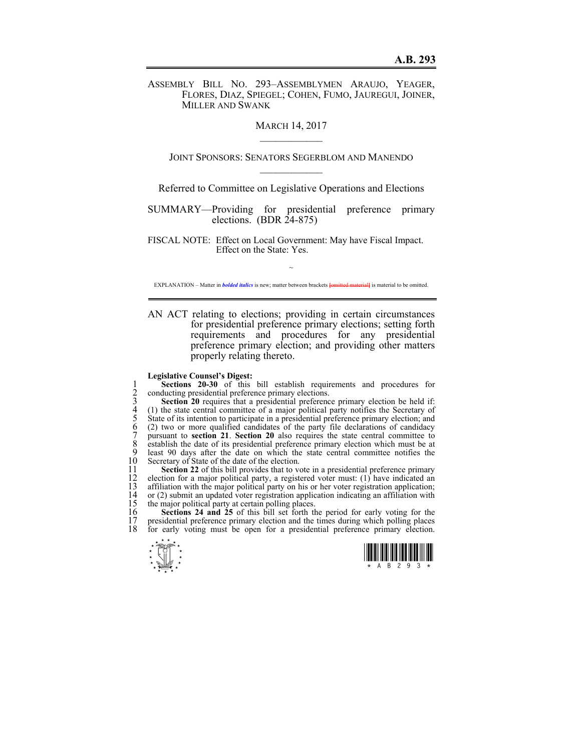ASSEMBLY BILL NO. 293–ASSEMBLYMEN ARAUJO, YEAGER, FLORES, DIAZ, SPIEGEL; COHEN, FUMO, JAUREGUI, JOINER, MILLER AND SWANK

## **MARCH 14, 2017**

JOINT SPONSORS: SENATORS SEGERBLOM AND MANENDO  $\mathcal{L}_\text{max}$ 

Referred to Committee on Legislative Operations and Elections

SUMMARY—Providing for presidential preference primary elections. (BDR 24-875)

FISCAL NOTE: Effect on Local Government: May have Fiscal Impact. Effect on the State: Yes.

~ EXPLANATION – Matter in *bolded italics* is new; matter between brackets **{omitted material}** is material to be omitted.

AN ACT relating to elections; providing in certain circumstances for presidential preference primary elections; setting forth requirements and procedures for any presidential preference primary election; and providing other matters properly relating thereto.

## **Legislative Counsel's Digest:**

conducting presidential preference primary elections.

**Sections 20-30** of this bill establish requirements and procedures for<br>
20 conducting presidential preference primary elections.<br>
3 **Section 20** requires that a presidential preference primary election be held if:<br>
4 (1) Section 20 requires that a presidential preference primary election be held if: 4 (1) the state central committee of a major political party notifies the Secretary of 5 State of its intention to participate in a presidential preference primary election; and (2) two or more qualified candidates of the party file declarations of candidacy pursuant to **section 21**. **Section 20** also requires the state central committee to 8 establish the date of its presidential preference primary election which must be at 9 least 90 days after the date on which the state central committee notifies the 9 least 90 days after the date on which the state central committee notifies the 10 Secretary of State of the date of the election. 10 Secretary of State of the date of the election.<br>11 Section 22 of this bill provides that to ve

11 **Section 22** of this bill provides that to vote in a presidential preference primary election for a major political party, a registered voter must: (1) have indicated an 12 election for a major political party, a registered voter must:  $(1)$  have indicated an 13 affiliation with the major political party on his or her voter registration application; 13 affiliation with the major political party on his or her voter registration application;<br>14 or (2) submit an updated voter registration application indicating an affiliation with 14 or (2) submit an updated voter registration application indicating an affiliation with 15 the major political party at certain polling places.

16 **Sections 24 and 25** of this bill set forth the period for early voting for the 17 presidential preference primary election and the times during which polling places 18 for early voting must be onen for a presidential preference primary election. for early voting must be open for a presidential preference primary election.



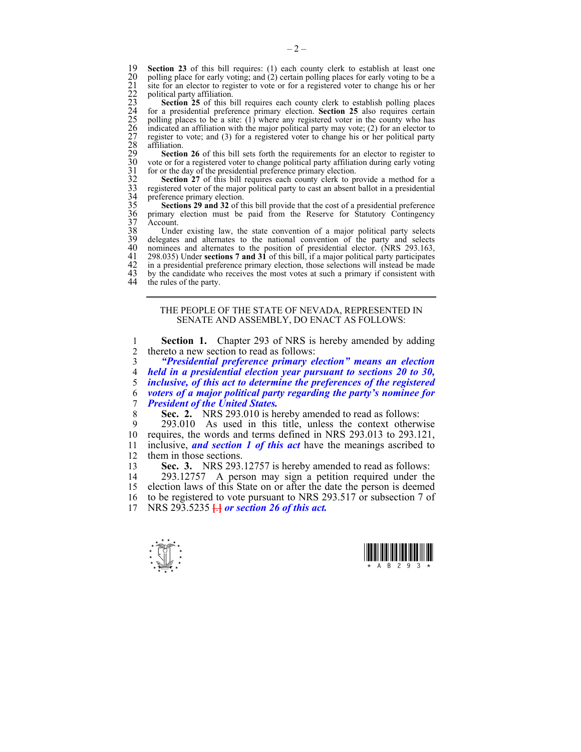19 **Section 23** of this bill requires: (1) each county clerk to establish at least one polling place for early voting; and (2) certain polling places for early voting to be a site for an elector to register to vote or for a registered voter to change his or her political party affiliation.

20 polling place for early voting; and (2) certain polling places for early voting to be a<br>
21 site for an electro to register to vote or for a registered voter to change his or her<br>
22 political party affiliation.<br> **Secti Section 25** of this bill requires each county clerk to establish polling places 24 for a presidential preference primary election. **Section 25** also requires certain polling places to be a site:  $(1)$  where any registered voter in the county who has 26 indicated an affiliation with the major political party may vote; (2) for an elector to 27 register to vote; and (3) for a registered voter to change his or her political party affiliation.

**Section 26** of this bill sets forth the requirements for an elector to register to 30 vote or for a registered voter to change political party affiliation during early voting for or the day of the presidential preference primary election.

**Section 27** of this bill requires each county clerk to provide a method for a 33 registered voter of the major political party to cast an absent ballot in a presidential preference primary election.

Sections 29 and 32 of this bill provide that the cost of a presidential preference primary election must be paid from the Reserve for Statutory Contingency 37 Account.

38 Under existing law, the state convention of a major political party selects 39 delegates and alternates to the national convention of the party and selects 40 nominees and alternates to the position of presidential elector. (NRS 293.163, 40 nominees and alternates to the position of presidential elector. (NRS 293.163, 41 298.035) Under **sections 7 and 31** of this bill, if a major political party participates 42 in a presidential preference primary election, those selections will instead be made<br>43 by the candidate who receives the most votes at such a primary if consistent with 43 by the candidate who receives the most votes at such a primary if consistent with the rules of the party. the rules of the party.

> THE PEOPLE OF THE STATE OF NEVADA, REPRESENTED IN SENATE AND ASSEMBLY, DO ENACT AS FOLLOWS:

1 **Section 1.** Chapter 293 of NRS is hereby amended by adding 2 thereto a new section to read as follows:

*"Presidential preference primary election" means an election held in a presidential election year pursuant to sections 20 to 30, inclusive, of this act to determine the preferences of the registered voters of a major political party regarding the party's nominee for President of the United States.* 

8 **Sec. 2.** NRS 293.010 is hereby amended to read as follows:<br>9 293.010 As used in this title unless the context otherw

9 293.010 As used in this title, unless the context otherwise 10 requires, the words and terms defined in NRS 293.013 to 293.121, 11 inclusive, *and section 1 of this act* have the meanings ascribed to them in those sections them in those sections.

13 **Sec. 3.** NRS 293.12757 is hereby amended to read as follows:

14 293.12757 A person may sign a petition required under the 15 election laws of this State on or after the date the person is deemed 16 to be registered to vote pursuant to NRS 293.517 or subsection 7 of 17 NRS 293.5235 **[**.**]** *or section 26 of this act.* 



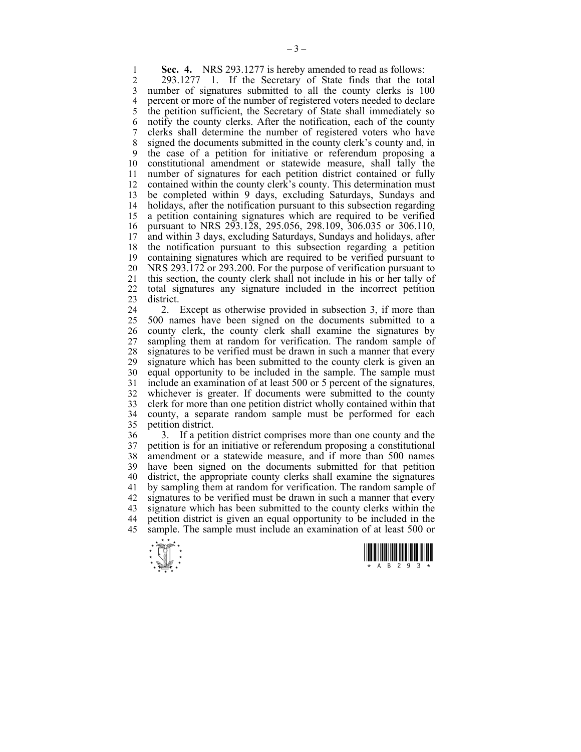**1 Sec. 4.** NRS 293.1277 is hereby amended to read as follows:<br>2 293.1277 1 If the Secretary of State finds that the tot

2 293.1277 1. If the Secretary of State finds that the total 3 number of signatures submitted to all the county clerks is 100 4 percent or more of the number of registered voters needed to declare<br>5 the petition sufficient, the Secretary of State shall immediately so the petition sufficient, the Secretary of State shall immediately so 6 notify the county clerks. After the notification, each of the county 7 clerks shall determine the number of registered voters who have 8 signed the documents submitted in the county clerk's county and, in 9 the case of a petition for initiative or referendum proposing a 10 constitutional amendment or statewide measure, shall tally the 11 number of signatures for each petition district contained or fully 12 contained within the county clerk's county. This determination must 13 be completed within 9 days, excluding Saturdays, Sundays and 14 holidays, after the notification pursuant to this subsection regarding 15 a petition containing signatures which are required to be verified 16 pursuant to NRS 293.128, 295.056, 298.109, 306.035 or 306.110, 17 and within 3 days, excluding Saturdays, Sundays and holidays, after 18 the notification pursuant to this subsection regarding a petition 19 containing signatures which are required to be verified pursuant to 20 NRS 293.172 or 293.200. For the purpose of verification pursuant to 21 this section, the county clerk shall not include in his or her tally of 22 total signatures any signature included in the incorrect petition 23 district.

24 2. Except as otherwise provided in subsection 3, if more than 25 500 names have been signed on the documents submitted to a 26 county clerk, the county clerk shall examine the signatures by 27 sampling them at random for verification. The random sample of 28 signatures to be verified must be drawn in such a manner that every 29 signature which has been submitted to the county clerk is given an 30 equal opportunity to be included in the sample. The sample must 31 include an examination of at least 500 or 5 percent of the signatures, 32 whichever is greater. If documents were submitted to the county 33 clerk for more than one petition district wholly contained within that 34 county, a separate random sample must be performed for each petition district.

36 3. If a petition district comprises more than one county and the 37 petition is for an initiative or referendum proposing a constitutional 38 amendment or a statewide measure, and if more than 500 names 39 have been signed on the documents submitted for that petition 40 district, the appropriate county clerks shall examine the signatures 41 by sampling them at random for verification. The random sample of 42 signatures to be verified must be drawn in such a manner that every 43 signature which has been submitted to the county clerks within the 44 petition district is given an equal opportunity to be included in the 45 sample. The sample must include an examination of at least 500 or



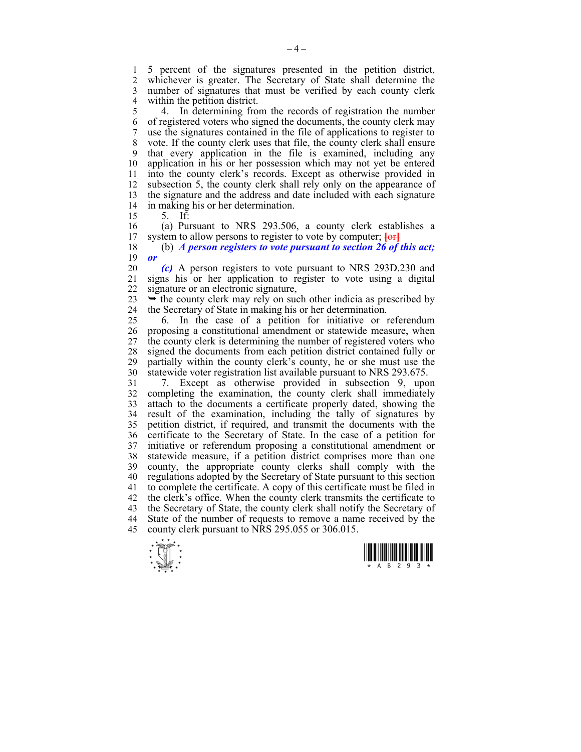1 5 percent of the signatures presented in the petition district, whichever is greater. The Secretary of State shall determine the 3 number of signatures that must be verified by each county clerk 4 within the petition district.<br>5 4. In determining from

5 4. In determining from the records of registration the number 6 of registered voters who signed the documents, the county clerk may 7 use the signatures contained in the file of applications to register to 8 vote. If the county clerk uses that file, the county clerk shall ensure 9 that every application in the file is examined, including any 10 application in his or her possession which may not yet be entered 11 into the county clerk's records. Except as otherwise provided in 12 subsection 5, the county clerk shall rely only on the appearance of 13 the signature and the address and date included with each signature 14 in making his or her determination.

15 5. If:

16 (a) Pursuant to NRS 293.506, a county clerk establishes a<br>17 system to allow persons to register to vote by computer:  $\frac{1}{1}$ 17 system to allow persons to register to vote by computer; **[**or**]**

18 (b) *A person registers to vote pursuant to section 26 of this act;*  19 *or* 

20 *(c)* A person registers to vote pursuant to NRS 293D.230 and 21 signs his or her application to register to vote using a digital 22 signature or an electronic signature,

 $23 \rightarrow$  the county clerk may rely on such other indicia as prescribed by 24 the Secretary of State in making his or her determination.

25 6. In the case of a petition for initiative or referendum 26 proposing a constitutional amendment or statewide measure, when 27 the county clerk is determining the number of registered voters who 28 signed the documents from each petition district contained fully or 29 partially within the county clerk's county, he or she must use the 30 statewide voter registration list available pursuant to NRS 293.675.

31 7. Except as otherwise provided in subsection 9, upon 32 completing the examination, the county clerk shall immediately 33 attach to the documents a certificate properly dated, showing the 34 result of the examination, including the tally of signatures by 35 petition district, if required, and transmit the documents with the 36 certificate to the Secretary of State. In the case of a petition for 37 initiative or referendum proposing a constitutional amendment or 38 statewide measure, if a petition district comprises more than one 39 county, the appropriate county clerks shall comply with the 40 regulations adopted by the Secretary of State pursuant to this section 41 to complete the certificate. A copy of this certificate must be filed in 42 the clerk's office. When the county clerk transmits the certificate to 43 the Secretary of State, the county clerk shall notify the Secretary of 44 State of the number of requests to remove a name received by the 45 county clerk pursuant to NRS 295.055 or 306.015.



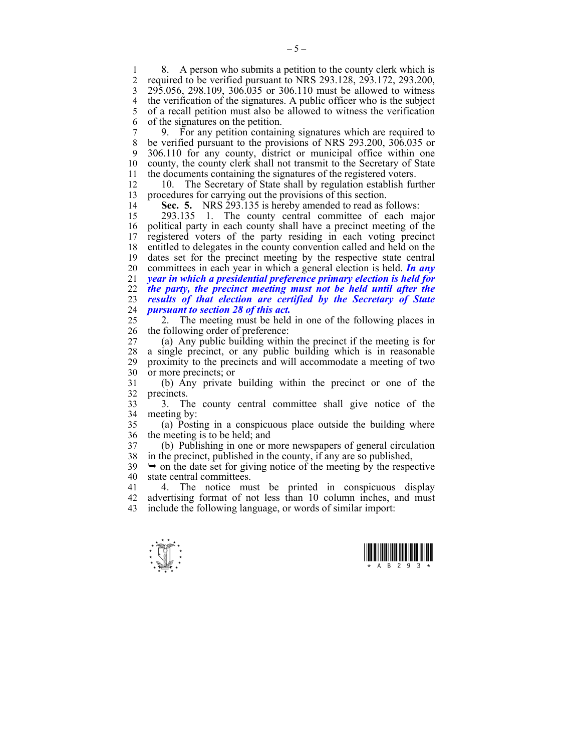1 8. A person who submits a petition to the county clerk which is<br>2 required to be verified pursuant to NRS 293 128 293 172 293 200 2 required to be verified pursuant to NRS 293.128, 293.172, 293.200, 3 295.056, 298.109, 306.035 or 306.110 must be allowed to witness 4 the verification of the signatures. A public officer who is the subject 5 of a recall petition must also be allowed to witness the verification 6 of the signatures on the petition.

7 9. For any petition containing signatures which are required to 8 be verified pursuant to the provisions of NRS 293.200, 306.035 or 9 306.110 for any county, district or municipal office within one 10 county, the county clerk shall not transmit to the Secretary of State 11 the documents containing the signatures of the registered voters.

12 10. The Secretary of State shall by regulation establish further 13 procedures for carrying out the provisions of this section.

14 **Sec. 5.** NRS 293.135 is hereby amended to read as follows:

15 293.135 1. The county central committee of each major 16 political party in each county shall have a precinct meeting of the 17 registered voters of the party residing in each voting precinct 18 entitled to delegates in the county convention called and held on the 19 dates set for the precinct meeting by the respective state central 20 committees in each year in which a general election is held. *In any*  21 *year in which a presidential preference primary election is held for*  22 *the party, the precinct meeting must not be held until after the*  23 *results of that election are certified by the Secretary of State*  24 *pursuant to section 28 of this act.*

25 2. The meeting must be held in one of the following places in 26 the following order of preference:

27 (a) Any public building within the precinct if the meeting is for 28 a single precinct, or any public building which is in reasonable 29 proximity to the precincts and will accommodate a meeting of two 30 or more precincts; or

31 (b) Any private building within the precinct or one of the 32 precincts.

33 3. The county central committee shall give notice of the 34 meeting by:

35 (a) Posting in a conspicuous place outside the building where 36 the meeting is to be held; and

37 (b) Publishing in one or more newspapers of general circulation 38 in the precinct, published in the county, if any are so published,

 $39 \rightarrow$  on the date set for giving notice of the meeting by the respective 40 state central committees.

41 4. The notice must be printed in conspicuous display 42 advertising format of not less than 10 column inches, and must 43 include the following language, or words of similar import:

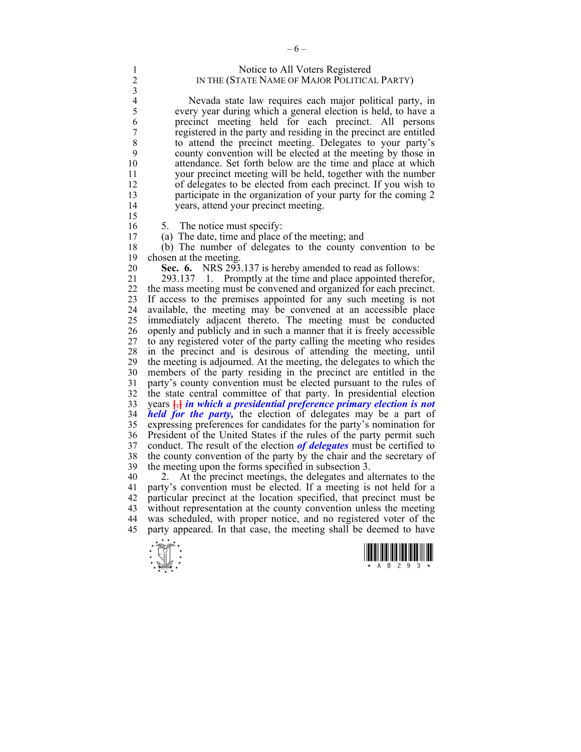| Notice to All Voters Registered              |
|----------------------------------------------|
| IN THE (STATE NAME OF MAJOR POLITICAL PARTY) |

4 Nevada state law requires each major political party, in<br>5 every year during which a general election is held, to have a 5 every year during which a general election is held, to have a 6 precinct meeting held for each precinct. All persons registered in the party and residing in the precinct are entitled 8 to attend the precinct meeting. Delegates to your party's 9 county convention will be elected at the meeting by those in 10 attendance. Set forth below are the time and place at which 11 your precinct meeting will be held, together with the number 12 of delegates to be elected from each precinct. If you wish to 13 participate in the organization of your party for the coming 2 14 years, attend your precinct meeting.

15

 $\frac{3}{4}$ 

16 5. The notice must specify:

17 (a) The date, time and place of the meeting; and

18 (b) The number of delegates to the county convention to be 19 chosen at the meeting.

20 **Sec. 6.** NRS 293.137 is hereby amended to read as follows:

21 293.137 1. Promptly at the time and place appointed therefor, 22 the mass meeting must be convened and organized for each precinct. 23 If access to the premises appointed for any such meeting is not 24 available, the meeting may be convened at an accessible place 25 immediately adjacent thereto. The meeting must be conducted 26 openly and publicly and in such a manner that it is freely accessible 27 to any registered voter of the party calling the meeting who resides 28 in the precinct and is desirous of attending the meeting, until 29 the meeting is adjourned. At the meeting, the delegates to which the 30 members of the party residing in the precinct are entitled in the 31 party's county convention must be elected pursuant to the rules of 32 the state central committee of that party. In presidential election 33 years **[**,**]** *in which a presidential preference primary election is not*  34 *held for the party,* the election of delegates may be a part of 35 expressing preferences for candidates for the party's nomination for 36 President of the United States if the rules of the party permit such 37 conduct. The result of the election *of delegates* must be certified to the county convention of the party by the chair and the secretary of the county convention of the party by the chair and the secretary of 39 the meeting upon the forms specified in subsection 3.

40 2. At the precinct meetings, the delegates and alternates to the 41 party's convention must be elected. If a meeting is not held for a 42 particular precinct at the location specified, that precinct must be 43 without representation at the county convention unless the meeting 44 was scheduled, with proper notice, and no registered voter of the 45 party appeared. In that case, the meeting shall be deemed to have



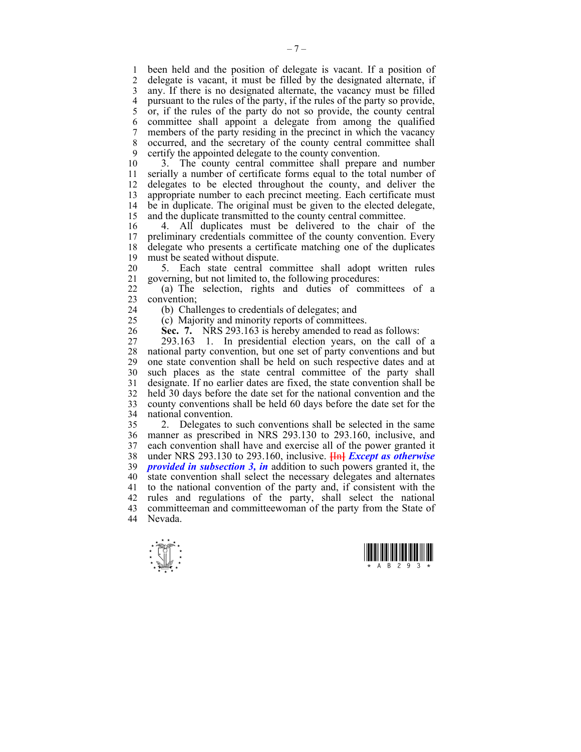1 been held and the position of delegate is vacant. If a position of delegate is vacant, it must be filled by the designated alternate, if 3 any. If there is no designated alternate, the vacancy must be filled 4 pursuant to the rules of the party, if the rules of the party so provide,  $\frac{1}{5}$  or, if the rules of the party do not so provide, the county central 5 or, if the rules of the party do not so provide, the county central 6 committee shall appoint a delegate from among the qualified 7 members of the party residing in the precinct in which the vacancy 8 occurred, and the secretary of the county central committee shall 9 certify the appointed delegate to the county convention.

10 3. The county central committee shall prepare and number 11 serially a number of certificate forms equal to the total number of 12 delegates to be elected throughout the county, and deliver the 13 appropriate number to each precinct meeting. Each certificate must 14 be in duplicate. The original must be given to the elected delegate, 15 and the duplicate transmitted to the county central committee.

16 4. All duplicates must be delivered to the chair of the 17 preliminary credentials committee of the county convention. Every 18 delegate who presents a certificate matching one of the duplicates 19 must be seated without dispute.

20 5. Each state central committee shall adopt written rules 21 governing, but not limited to, the following procedures:

22 (a) The selection, rights and duties of committees of a 23 convention;

24 (b) Challenges to credentials of delegates; and

25 (c) Majority and minority reports of committees.

26 **Sec. 7.** NRS 293.163 is hereby amended to read as follows:

27 293.163 1. In presidential election years, on the call of a 28 national party convention, but one set of party conventions and but 29 one state convention shall be held on such respective dates and at 30 such places as the state central committee of the party shall 31 designate. If no earlier dates are fixed, the state convention shall be 32 held 30 days before the date set for the national convention and the 33 county conventions shall be held 60 days before the date set for the 34 national convention.

35 2. Delegates to such conventions shall be selected in the same 36 manner as prescribed in NRS 293.130 to 293.160, inclusive, and 37 each convention shall have and exercise all of the power granted it 38 under NRS 293.130 to 293.160, inclusive. **[**In**]** *Except as otherwise*  39 *provided in subsection 3, in* addition to such powers granted it, the 40 state convention shall select the necessary delegates and alternates 41 to the national convention of the party and, if consistent with the 42 rules and regulations of the party, shall select the national 43 committeeman and committeewoman of the party from the State of 44 Nevada.



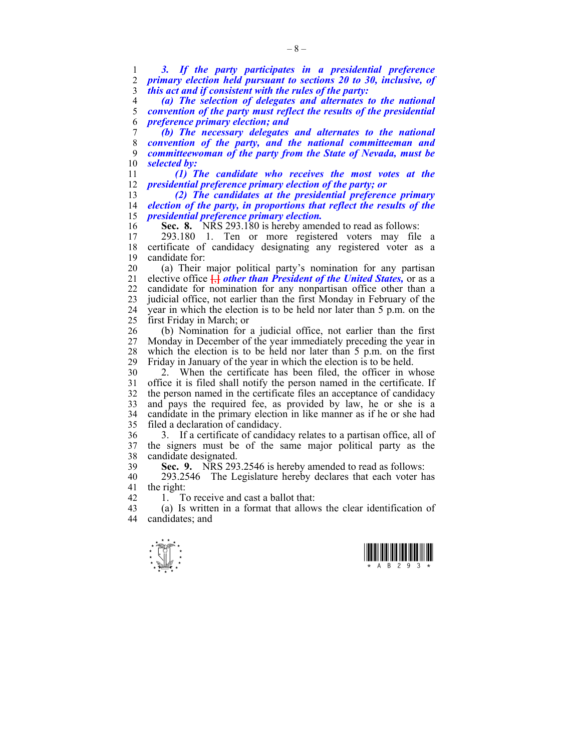1 *3. If the party participates in a presidential preference*  2 *primary election held pursuant to sections 20 to 30, inclusive, of*  3 *this act and if consistent with the rules of the party:* 

4 *(a) The selection of delegates and alternates to the national*  5 *convention of the party must reflect the results of the presidential*  6 *preference primary election; and* 

*(b) The necessary delegates and alternates to the national convention of the party, and the national committeeman and committeewoman of the party from the State of Nevada, must be selected by:* 

11 *(1) The candidate who receives the most votes at the*  12 *presidential preference primary election of the party; or* 

13 *(2) The candidates at the presidential preference primary*  14 *election of the party, in proportions that reflect the results of the*  15 *presidential preference primary election.* 

16 **Sec. 8.** NRS 293.180 is hereby amended to read as follows:<br>17 293.180 1 Ten or more registered voters may file

17 293.180 1. Ten or more registered voters may file a 18 certificate of candidacy designating any registered voter as a 19 candidate for:

20 (a) Their major political party's nomination for any partisan 21 elective office **[**,**]** *other than President of the United States,* or as a 22 candidate for nomination for any nonpartisan office other than a 23 judicial office, not earlier than the first Monday in February of the 24 year in which the election is to be held nor later than 5 p.m. on the 25 first Friday in March; or

26 (b) Nomination for a judicial office, not earlier than the first 27 Monday in December of the year immediately preceding the year in 28 which the election is to be held nor later than 5 p.m. on the first 29 Friday in January of the year in which the election is to be held.

30 2. When the certificate has been filed, the officer in whose 31 office it is filed shall notify the person named in the certificate. If 32 the person named in the certificate files an acceptance of candidacy 33 and pays the required fee, as provided by law, he or she is a 34 candidate in the primary election in like manner as if he or she had 35 filed a declaration of candidacy.

36 3. If a certificate of candidacy relates to a partisan office, all of 37 the signers must be of the same major political party as the 38 candidate designated.

39 **Sec. 9.** NRS 293.2546 is hereby amended to read as follows:

40 293.2546 The Legislature hereby declares that each voter has 41 the right:

42 1. To receive and cast a ballot that:<br>43 (a) Is written in a format that allow

43 (a) Is written in a format that allows the clear identification of 44 candidates; and



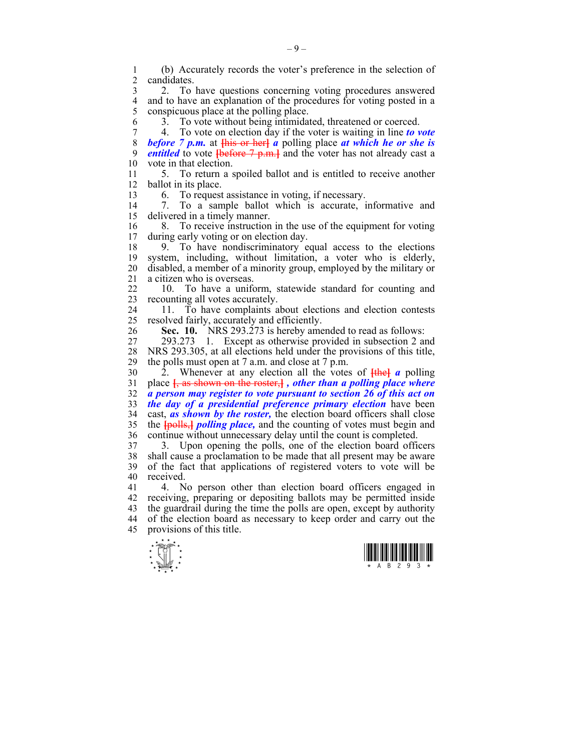1 (b) Accurately records the voter's preference in the selection of candidates.

3 2. To have questions concerning voting procedures answered 4 and to have an explanation of the procedures for voting posted in a<br>5 conspicuous place at the polling place. 5 conspicuous place at the polling place.

6 3. To vote without being intimidated, threatened or coerced.

7 4. To vote on election day if the voter is waiting in line *to vote*  8 *before 7 p.m.* at **[**his or her**]** *a* polling place *at which he or she is*  9 *entitled* to vote **[**before 7 p.m.**]** and the voter has not already cast a 10 vote in that election.

11 5. To return a spoiled ballot and is entitled to receive another 12 ballot in its place.

13 6. To request assistance in voting, if necessary.

14 7. To a sample ballot which is accurate, informative and 15 delivered in a timely manner.

16 8. To receive instruction in the use of the equipment for voting 17 during early voting or on election day.

18 9. To have nondiscriminatory equal access to the elections 19 system, including, without limitation, a voter who is elderly, 20 disabled, a member of a minority group, employed by the military or 21 a citizen who is overseas.

22 10. To have a uniform, statewide standard for counting and 23 recounting all votes accurately.

24 11. To have complaints about elections and election contests 25 resolved fairly, accurately and efficiently.

26 **Sec. 10.** NRS 293.273 is hereby amended to read as follows:

27 293.273 1. Except as otherwise provided in subsection 2 and 28 NRS 293.305, at all elections held under the provisions of this title, 29 the polls must open at 7 a.m. and close at 7 p.m.

30 2. Whenever at any election all the votes of **[**the**]** *a* polling 31 place **[**, as shown on the roster,**]** *, other than a polling place where*  32 *a person may register to vote pursuant to section 26 of this act on*  33 *the day of a presidential preference primary election* have been 34 cast, *as shown by the roster,* the election board officers shall close 35 the **[**polls,**]** *polling place,* and the counting of votes must begin and 36 continue without unnecessary delay until the count is completed.

37 3. Upon opening the polls, one of the election board officers 38 shall cause a proclamation to be made that all present may be aware 39 of the fact that applications of registered voters to vote will be 40 received.

41 4. No person other than election board officers engaged in 42 receiving, preparing or depositing ballots may be permitted inside 43 the guardrail during the time the polls are open, except by authority 44 of the election board as necessary to keep order and carry out the 45 provisions of this title.



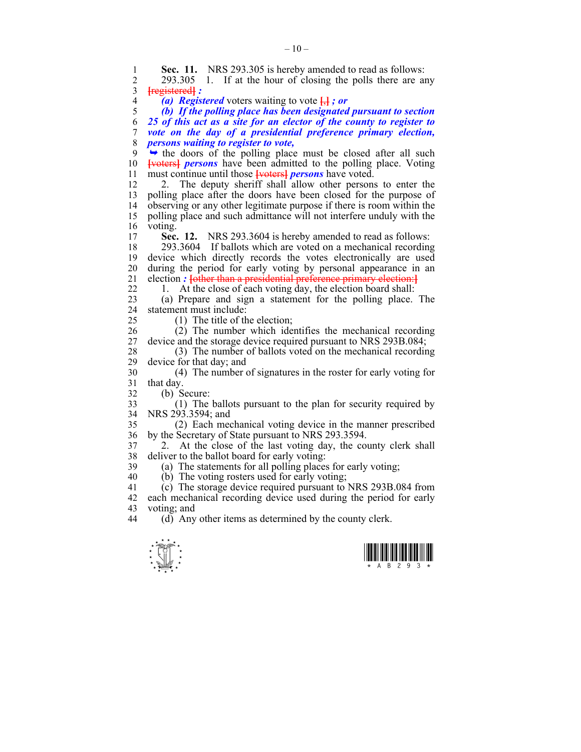$\frac{1}{\sqrt{2}}$ **Sec. 11.** NRS 293.305 is hereby amended to read as follows:<br>2 293.305 1 If at the hour of closing the polls there are an 2 293.305 1. If at the hour of closing the polls there are any 3 **[**registered**]** *:*  4 *(a) Registered* voters waiting to vote **[**,**]** *; or*  5 *(b) If the polling place has been designated pursuant to section*  6 *25 of this act as a site for an elector of the county to register to*  7 *vote on the day of a presidential preference primary election,*  8 *persons waiting to register to vote,*   $9 \rightarrow$  the doors of the polling place must be closed after all such 10 **[**voters**]** *persons* have been admitted to the polling place. Voting 11 must continue until those **[**voters**]** *persons* have voted. 12 2. The deputy sheriff shall allow other persons to enter the 13 polling place after the doors have been closed for the purpose of 14 observing or any other legitimate purpose if there is room within the 15 polling place and such admittance will not interfere unduly with the  $\frac{16}{17}$  voting. Sec. 12. NRS 293.3604 is hereby amended to read as follows: 18 293.3604 If ballots which are voted on a mechanical recording 19 device which directly records the votes electronically are used 20 during the period for early voting by personal appearance in an 21 election : **{**other than a presidential preference primary election:**}** 22 1. At the close of each voting day, the election board shall: 23 (a) Prepare and sign a statement for the polling place. The 24 statement must include: 25 (1) The title of the election; 26 (2) The number which identifies the mechanical recording 27 device and the storage device required pursuant to NRS 293B.084; 28 (3) The number of ballots voted on the mechanical recording<br>29 device for that day: and device for that day; and 30 (4) The number of signatures in the roster for early voting for 31 that day. 32 (b) Secure: 33 (1) The ballots pursuant to the plan for security required by 34 NRS 293.3594; and 35 (2) Each mechanical voting device in the manner prescribed 36 by the Secretary of State pursuant to NRS 293.3594. 37 2. At the close of the last voting day, the county clerk shall 38 deliver to the ballot board for early voting: 39 (a) The statements for all polling places for early voting; 40 (b) The voting rosters used for early voting; 41 (c) The storage device required pursuant to NRS 293B.084 from 42 each mechanical recording device used during the period for early 43 voting; and<br>44 (d) Any (d) Any other items as determined by the county clerk.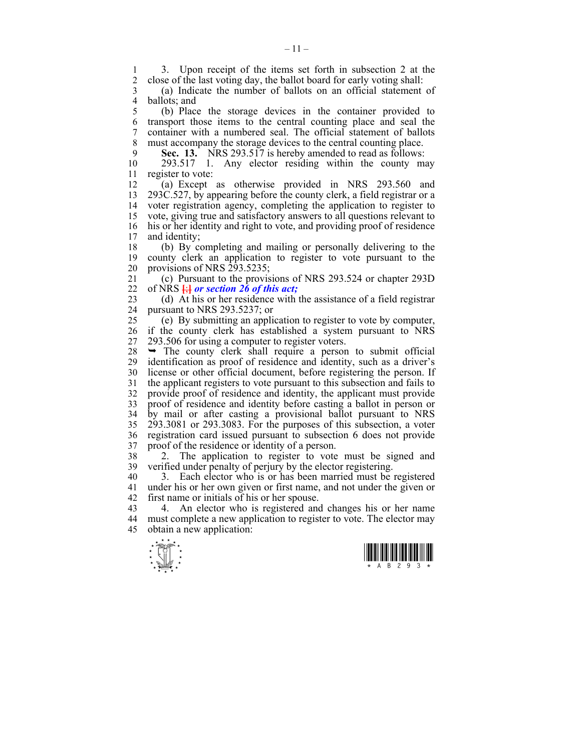1 3. Upon receipt of the items set forth in subsection 2 at the 2 close of the last voting day the ballot board for early voting shall 2 close of the last voting day, the ballot board for early voting shall:

3 (a) Indicate the number of ballots on an official statement of 4 ballots; and<br>5 (b) Place

5 (b) Place the storage devices in the container provided to 6 transport those items to the central counting place and seal the 7 container with a numbered seal. The official statement of ballots 8 must accompany the storage devices to the central counting place.

9 **Sec. 13.** NRS 293.517 is hereby amended to read as follows:<br>10 293.517 1. Any elector residing within the county m

 $293.517$  1. Any elector residing within the county may 11 register to vote:

12 (a) Except as otherwise provided in NRS 293.560 and 13 293C.527, by appearing before the county clerk, a field registrar or a voter registration agency, completing the application to register to 15 vote, giving true and satisfactory answers to all questions relevant to 16 his or her identity and right to vote, and providing proof of residence 17 and identity;

18 (b) By completing and mailing or personally delivering to the 19 county clerk an application to register to vote pursuant to the 20 provisions of NRS 293.5235;

21 (c) Pursuant to the provisions of NRS 293.524 or chapter 293D 22 of NRS **[**;**]** *or section 26 of this act;*

23 (d) At his or her residence with the assistance of a field registrar 24 pursuant to NRS 293.5237; or

25 (e) By submitting an application to register to vote by computer, 26 if the county clerk has established a system pursuant to NRS 27 293.506 for using a computer to register voters.

 $28 \rightarrow$  The county clerk shall require a person to submit official 29 identification as proof of residence and identity, such as a driver's 30 license or other official document, before registering the person. If 31 the applicant registers to vote pursuant to this subsection and fails to 32 provide proof of residence and identity, the applicant must provide 33 proof of residence and identity before casting a ballot in person or 34 by mail or after casting a provisional ballot pursuant to NRS 35 293.3081 or 293.3083. For the purposes of this subsection, a voter 36 registration card issued pursuant to subsection 6 does not provide 37 proof of the residence or identity of a person.

38 2. The application to register to vote must be signed and 39 verified under penalty of perjury by the elector registering.

40 3. Each elector who is or has been married must be registered 41 under his or her own given or first name, and not under the given or 42 first name or initials of his or her spouse.

43 4. An elector who is registered and changes his or her name 44 must complete a new application to register to vote. The elector may 45 obtain a new application:



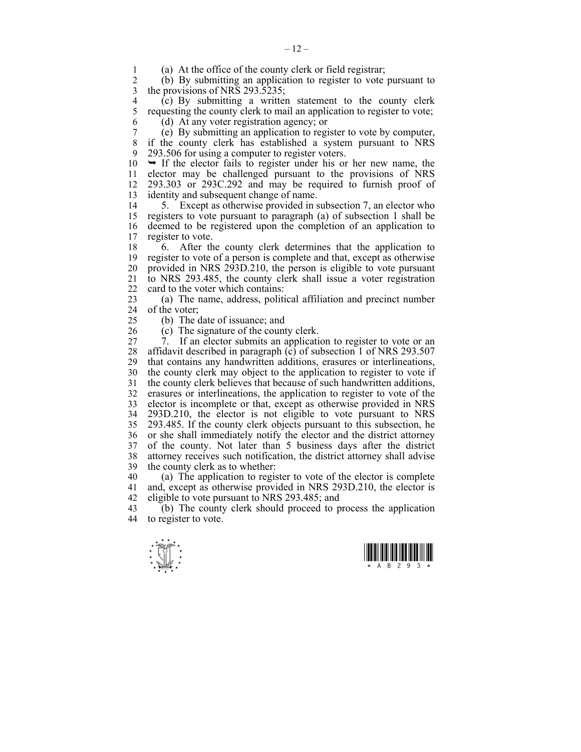1 (a) At the office of the county clerk or field registrar;<br>2 (b) By submitting an application to register to vote

2 (b) By submitting an application to register to vote pursuant to 3 the provisions of NRS 293.5235;

4 (c) By submitting a written statement to the county clerk 5 requesting the county clerk to mail an application to register to vote: 5 requesting the county clerk to mail an application to register to vote; 6 (d) At any voter registration agency; or

7 (e) By submitting an application to register to vote by computer, if the county clerk has established a system pursuant to NRS 9 293.506 for using a computer to register voters.

 $10 \rightarrow$  If the elector fails to register under his or her new name, the 11 elector may be challenged pursuant to the provisions of NRS 12 293.303 or 293C.292 and may be required to furnish proof of 13 identity and subsequent change of name.

14 5. Except as otherwise provided in subsection 7, an elector who 15 registers to vote pursuant to paragraph (a) of subsection 1 shall be 16 deemed to be registered upon the completion of an application to 17 register to vote.

18 6. After the county clerk determines that the application to 19 register to vote of a person is complete and that, except as otherwise 20 provided in NRS 293D.210, the person is eligible to vote pursuant 21 to NRS 293.485, the county clerk shall issue a voter registration 22 card to the voter which contains:

23 (a) The name, address, political affiliation and precinct number 24 of the voter;

25 (b) The date of issuance; and

26 (c) The signature of the county clerk.

27 7. If an elector submits an application to register to vote or an 28 affidavit described in paragraph  $\overline{c}$  of subsection 1 of NRS 293.507 29 that contains any handwritten additions, erasures or interlineations, 30 the county clerk may object to the application to register to vote if 31 the county clerk believes that because of such handwritten additions, 32 erasures or interlineations, the application to register to vote of the 33 elector is incomplete or that, except as otherwise provided in NRS 34 293D.210, the elector is not eligible to vote pursuant to NRS 35 293.485. If the county clerk objects pursuant to this subsection, he 36 or she shall immediately notify the elector and the district attorney<br>37 of the county. Not later than 5 business days after the district of the county. Not later than 5 business days after the district 38 attorney receives such notification, the district attorney shall advise 39 the county clerk as to whether:

40 (a) The application to register to vote of the elector is complete 41 and, except as otherwise provided in NRS 293D.210, the elector is 42 eligible to vote pursuant to NRS 293.485; and<br>43 (b) The county clerk should proceed to p

(b) The county clerk should proceed to process the application 44 to register to vote.



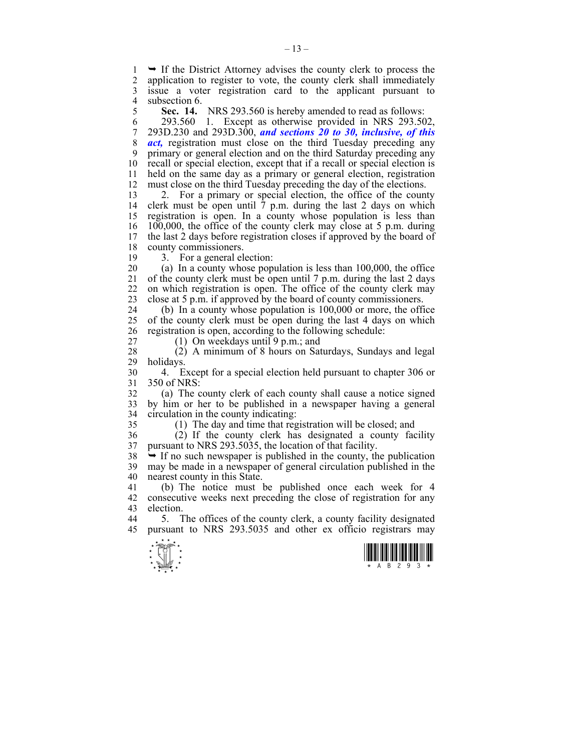1  $\rightarrow$  If the District Attorney advises the county clerk to process the application to register to vote, the county clerk shall immediately application to register to vote, the county clerk shall immediately 3 issue a voter registration card to the applicant pursuant to 4 subsection 6.<br>5 Sec. 14.

5 **Sec. 14.** NRS 293.560 is hereby amended to read as follows:

6 293.560 1. Except as otherwise provided in NRS 293.502, 7 293D.230 and 293D.300, *and sections 20 to 30, inclusive, of this*  8 *act,* registration must close on the third Tuesday preceding any 9 primary or general election and on the third Saturday preceding any 10 recall or special election, except that if a recall or special election is 11 held on the same day as a primary or general election, registration 12 must close on the third Tuesday preceding the day of the elections.

13 2. For a primary or special election, the office of the county 14 clerk must be open until  $\tilde{7}$  p.m. during the last 2 days on which 15 registration is open. In a county whose population is less than 16 100,000, the office of the county clerk may close at 5 p.m. during 17 the last 2 days before registration closes if approved by the board of 18 county commissioners.

19 3. For a general election:

20 (a) In a county whose population is less than 100,000, the office 21 of the county clerk must be open until 7 p.m. during the last 2 days 22 on which registration is open. The office of the county clerk may 23 close at 5 p.m. if approved by the board of county commissioners.

24 (b) In a county whose population is 100,000 or more, the office 25 of the county clerk must be open during the last 4 days on which 26 registration is open, according to the following schedule:

27 (1) On weekdays until 9 p.m.; and

28 (2) A minimum of 8 hours on Saturdays, Sundays and legal holidays.

30 4. Except for a special election held pursuant to chapter 306 or 31 350 of NRS:

32 (a) The county clerk of each county shall cause a notice signed 33 by him or her to be published in a newspaper having a general 34 circulation in the county indicating:

35 (1) The day and time that registration will be closed; and

36 (2) If the county clerk has designated a county facility 37 pursuant to NRS 293.5035, the location of that facility.

 $38 \rightarrow$  If no such newspaper is published in the county, the publication 39 may be made in a newspaper of general circulation published in the 40 nearest county in this State.

41 (b) The notice must be published once each week for 4 42 consecutive weeks next preceding the close of registration for any 43 election.

44 5. The offices of the county clerk, a county facility designated 45 pursuant to NRS 293.5035 and other ex officio registrars may



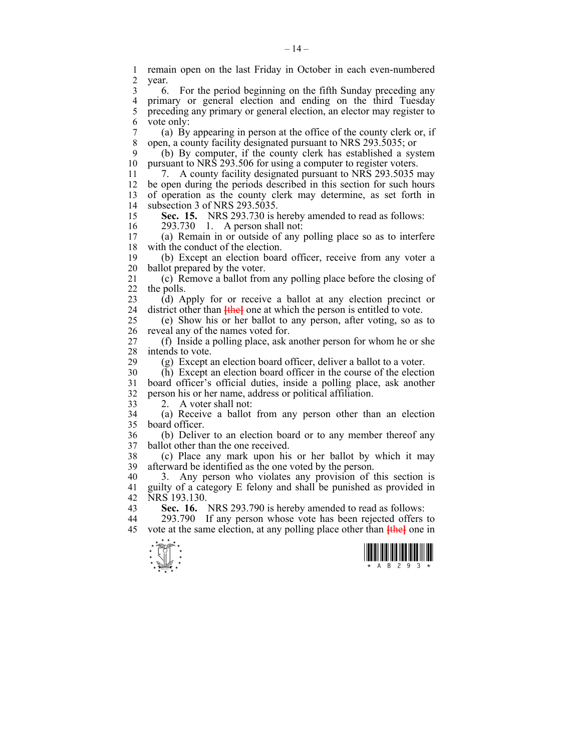$\frac{1}{\sqrt{2}}$ 1 remain open on the last Friday in October in each even-numbered 2 year. 3 6. For the period beginning on the fifth Sunday preceding any 4 primary or general election and ending on the third Tuesday 5 preceding any primary or general election, an elector may register to 6 vote only: 7 (a) By appearing in person at the office of the county clerk or, if 8 open, a county facility designated pursuant to NRS 293.5035; or 9 (b) By computer, if the county clerk has established a system 10 pursuant to NRS 293.506 for using a computer to register voters. 11 7. A county facility designated pursuant to NRS 293.5035 may 12 be open during the periods described in this section for such hours 13 of operation as the county clerk may determine, as set forth in 14 subsection 3 of NRS 293.5035. 15 **Sec. 15.** NRS 293.730 is hereby amended to read as follows: 16 293.730 1. A person shall not:<br>17 (a) Remain in or outside of any 17 (a) Remain in or outside of any polling place so as to interfere 18 with the conduct of the election. 19 (b) Except an election board officer, receive from any voter a 20 ballot prepared by the voter. 21 (c) Remove a ballot from any polling place before the closing of 22 the polls. 23 (d) Apply for or receive a ballot at any election precinct or 24 district other than **[the]** one at which the person is entitled to vote. 25 (e) Show his or her ballot to any person, after voting, so as to 26 reveal any of the names voted for. 27 (f) Inside a polling place, ask another person for whom he or she 28 intends to vote.<br>29 (g) Except a  $(g)$  Except an election board officer, deliver a ballot to a voter. 30 (h) Except an election board officer in the course of the election 31 board officer's official duties, inside a polling place, ask another 32 person his or her name, address or political affiliation. 33 2. A voter shall not: 34 (a) Receive a ballot from any person other than an election 35 board officer. 36 (b) Deliver to an election board or to any member thereof any 37 ballot other than the one received. 38 (c) Place any mark upon his or her ballot by which it may 39 afterward be identified as the one voted by the person. 40 3. Any person who violates any provision of this section is 41 guilty of a category E felony and shall be punished as provided in 42 NRS 193.130. 43 **Sec. 16.** NRS 293.790 is hereby amended to read as follows: 44 293.790 If any person whose vote has been rejected offers to 45 vote at the same election, at any polling place other than **[**the**]** one in

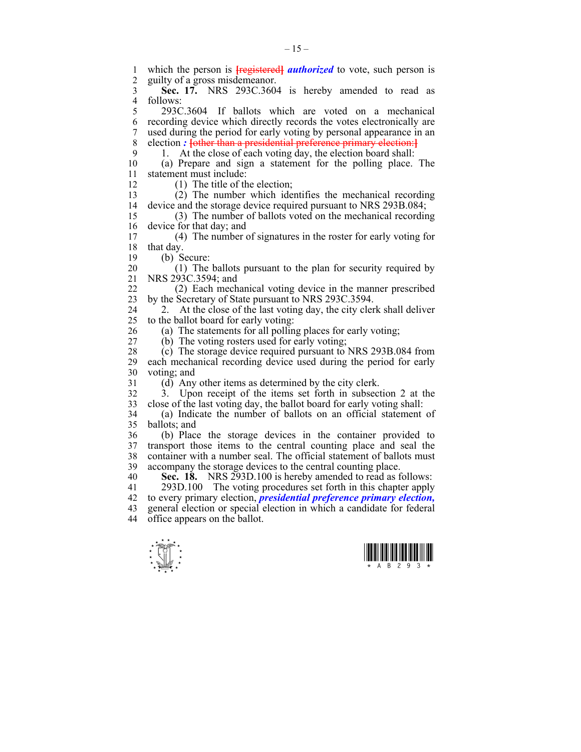1 which the person is **[**registered**]** *authorized* to vote, such person is 2 guilty of a gross misdemeanor. 3 **Sec. 17.** NRS 293C.3604 is hereby amended to read as 4 follows:<br> $\frac{4}{5}$  2930 5 293C.3604 If ballots which are voted on a mechanical 6 recording device which directly records the votes electronically are 7 used during the period for early voting by personal appearance in an 8 election *:* **[**other than a presidential preference primary election:**]** 9 1. At the close of each voting day, the election board shall: 10 (a) Prepare and sign a statement for the polling place. The 11 statement must include: 12 (1) The title of the election; 13 (2) The number which identifies the mechanical recording 14 device and the storage device required pursuant to NRS 293B.084; 15 (3) The number of ballots voted on the mechanical recording 16 device for that day; and<br>17 (4) The number of 17 (4) The number of signatures in the roster for early voting for 18 that day. 19 (b) Secure: 20 (1) The ballots pursuant to the plan for security required by 21 NRS 293C.3594; and 22 (2) Each mechanical voting device in the manner prescribed 23 by the Secretary of State pursuant to NRS 293C.3594. 24 2. At the close of the last voting day, the city clerk shall deliver 25 to the ballot board for early voting: 26 (a) The statements for all polling places for early voting; 27 (b) The voting rosters used for early voting; 28 (c) The storage device required pursuant to NRS 293B.084 from 29 each mechanical recording device used during the period for early 30 voting; and 31 (d) Any other items as determined by the city clerk. 32 3. Upon receipt of the items set forth in subsection 2 at the 33 close of the last voting day, the ballot board for early voting shall: 34 (a) Indicate the number of ballots on an official statement of 35 ballots; and 36 (b) Place the storage devices in the container provided to 37 transport those items to the central counting place and seal the 38 container with a number seal. The official statement of ballots must 39 accompany the storage devices to the central counting place. 40 **Sec. 18.** NRS 293D.100 is hereby amended to read as follows: 41 293D.100 The voting procedures set forth in this chapter apply 42 to every primary election, *presidential preference primary election,* 43 general election or special election in which a candidate for federal 44 office appears on the ballot.



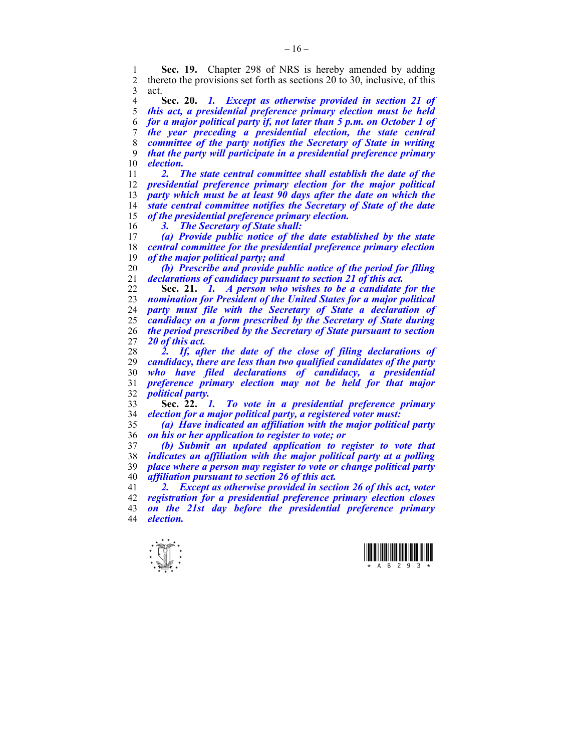1 **Sec. 19.** Chapter 298 of NRS is hereby amended by adding 2 thereto the provisions set forth as sections 20 to 30 inclusive of this 2 thereto the provisions set forth as sections 20 to 30, inclusive, of this 3 act.

**Sec. 20.** *1. Except as otherwise provided in section 21 of this act, a presidential preference primary election must be held for a major political party if, not later than 5 p.m. on October 1 of the year preceding a presidential election, the state central committee of the party notifies the Secretary of State in writing that the party will participate in a presidential preference primary election.* 

*2. The state central committee shall establish the date of the presidential preference primary election for the major political party which must be at least 90 days after the date on which the state central committee notifies the Secretary of State of the date of the presidential preference primary election.* 

*3. The Secretary of State shall:* 

*(a) Provide public notice of the date established by the state central committee for the presidential preference primary election of the major political party; and* 

*(b) Prescribe and provide public notice of the period for filing declarations of candidacy pursuant to section 21 of this act.*

**Sec. 21.** *1. A person who wishes to be a candidate for the nomination for President of the United States for a major political party must file with the Secretary of State a declaration of candidacy on a form prescribed by the Secretary of State during the period prescribed by the Secretary of State pursuant to section 20 of this act.* 

*2. If, after the date of the close of filing declarations of candidacy, there are less than two qualified candidates of the party who have filed declarations of candidacy, a presidential preference primary election may not be held for that major political party.* 

**Sec. 22.** *1. To vote in a presidential preference primary election for a major political party, a registered voter must:* 

*(a) Have indicated an affiliation with the major political party on his or her application to register to vote; or* 

*(b) Submit an updated application to register to vote that indicates an affiliation with the major political party at a polling place where a person may register to vote or change political party affiliation pursuant to section 26 of this act.* 

*2. Except as otherwise provided in section 26 of this act, voter registration for a presidential preference primary election closes on the 21st day before the presidential preference primary*   $\theta$ *election.* 



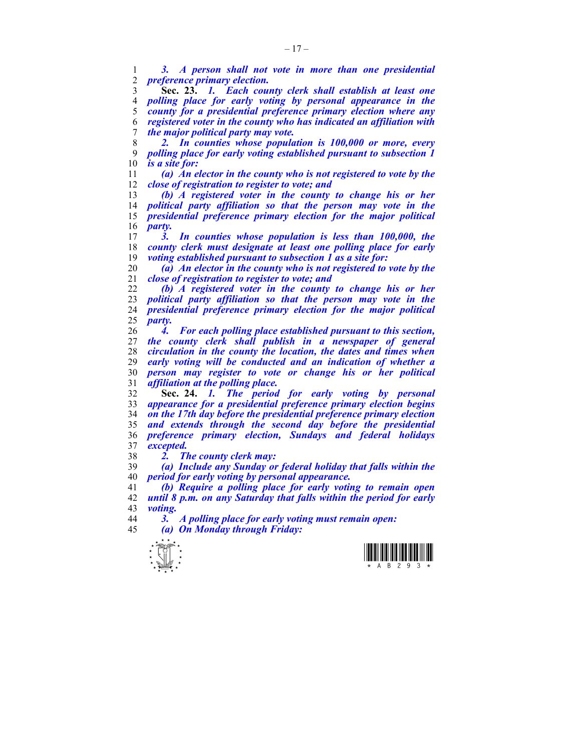*3. A person shall not vote in more than one presidential preference primary election.*

**Sec. 23.** *1. Each county clerk shall establish at least one polling place for early voting by personal appearance in the county for a presidential preference primary election where any registered voter in the county who has indicated an affiliation with the major political party may vote.* 

*2. In counties whose population is 100,000 or more, every polling place for early voting established pursuant to subsection 1 is a site for:* 

*(a) An elector in the county who is not registered to vote by the close of registration to register to vote; and* 

*(b) A registered voter in the county to change his or her political party affiliation so that the person may vote in the presidential preference primary election for the major political*   $\frac{16}{17}$  *party.*<br> $\frac{3}{5}$ 

*3. In counties whose population is less than 100,000, the county clerk must designate at least one polling place for early voting established pursuant to subsection 1 as a site for:* 

*(a) An elector in the county who is not registered to vote by the close of registration to register to vote; and* 

*(b) A registered voter in the county to change his or her political party affiliation so that the person may vote in the presidential preference primary election for the major political party.* 

*4. For each polling place established pursuant to this section, the county clerk shall publish in a newspaper of general circulation in the county the location, the dates and times when early voting will be conducted and an indication of whether a person may register to vote or change his or her political affiliation at the polling place.*

**Sec. 24.** *1. The period for early voting by personal appearance for a presidential preference primary election begins on the 17th day before the presidential preference primary election and extends through the second day before the presidential preference primary election, Sundays and federal holidays excepted.* 

*2. The county clerk may:* 

*(a) Include any Sunday or federal holiday that falls within the period for early voting by personal appearance.* 

*(b) Require a polling place for early voting to remain open until 8 p.m. on any Saturday that falls within the period for early voting.* 

*3. A polling place for early voting must remain open: (a) On Monday through Friday:* 

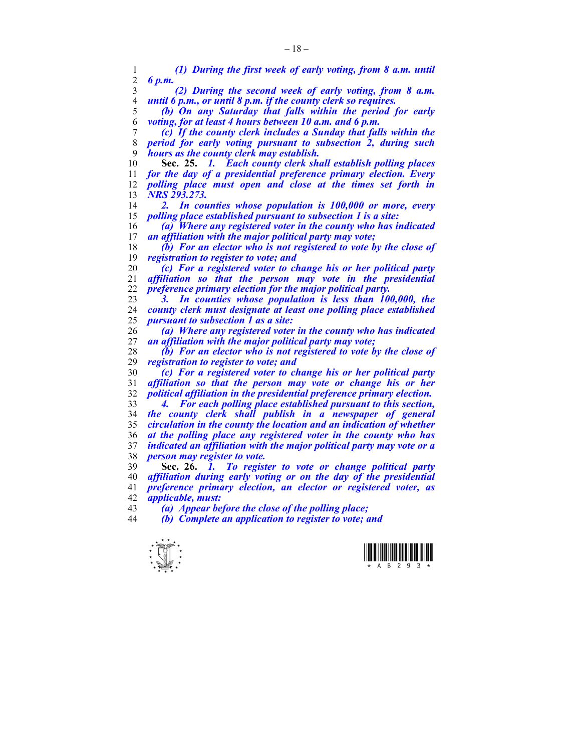*(1) During the first week of early voting, from 8 a.m. until 6 p.m. (2) During the second week of early voting, from 8 a.m. until 6 p.m., or until 8 p.m. if the county clerk so requires. (b) On any Saturday that falls within the period for early voting, for at least 4 hours between 10 a.m. and 6 p.m. (c) If the county clerk includes a Sunday that falls within the period for early voting pursuant to subsection 2, during such hours as the county clerk may establish.*  **Sec. 25.** *1. Each county clerk shall establish polling places for the day of a presidential preference primary election. Every polling place must open and close at the times set forth in NRS 293.273. 2. In counties whose population is 100,000 or more, every polling place established pursuant to subsection 1 is a site: (a) Where any registered voter in the county who has indicated*  an affiliation with the major political party may vote; *(b) For an elector who is not registered to vote by the close of registration to register to vote; and (c) For a registered voter to change his or her political party affiliation so that the person may vote in the presidential preference primary election for the major political party. 3. In counties whose population is less than 100,000, the county clerk must designate at least one polling place established pursuant to subsection 1 as a site: (a) Where any registered voter in the county who has indicated an affiliation with the major political party may vote; (b) For an elector who is not registered to vote by the close of registration to register to vote; and (c) For a registered voter to change his or her political party affiliation so that the person may vote or change his or her political affiliation in the presidential preference primary election. 4. For each polling place established pursuant to this section, the county clerk shall publish in a newspaper of general circulation in the county the location and an indication of whether at the polling place any registered voter in the county who has indicated an affiliation with the major political party may vote or a person may register to vote.* **Sec. 26.** *1. To register to vote or change political party affiliation during early voting or on the day of the presidential preference primary election, an elector or registered voter, as applicable, must: (a) Appear before the close of the polling place; (b) Complete an application to register to vote; and* 



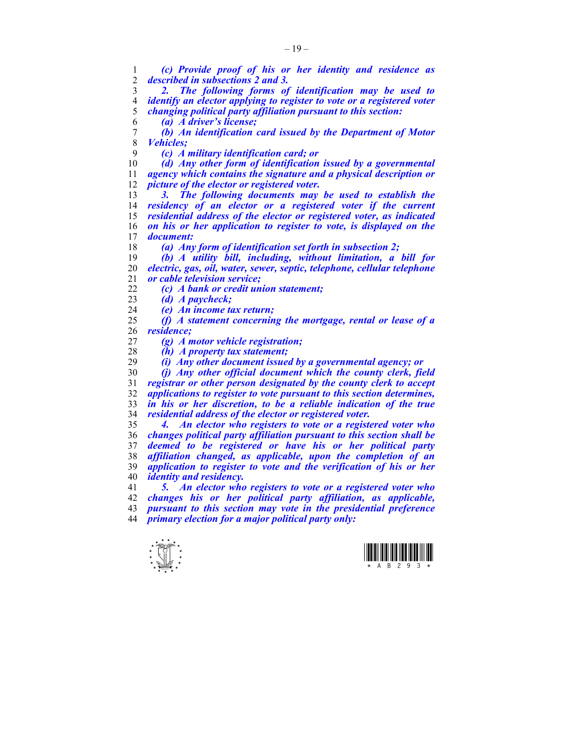$\frac{1}{\sqrt{2}}$ *(c) Provide proof of his or her identity and residence as described in subsections 2 and 3. 2. The following forms of identification may be used to identify an elector applying to register to vote or a registered voter changing political party affiliation pursuant to this section: (a) A driver's license; (b) An identification card issued by the Department of Motor Vehicles; (c) A military identification card; or (d) Any other form of identification issued by a governmental agency which contains the signature and a physical description or picture of the elector or registered voter. 3. The following documents may be used to establish the residency of an elector or a registered voter if the current residential address of the elector or registered voter, as indicated on his or her application to register to vote, is displayed on the*  document: *(a) Any form of identification set forth in subsection 2; (b) A utility bill, including, without limitation, a bill for electric, gas, oil, water, sewer, septic, telephone, cellular telephone or cable television service; (c) A bank or credit union statement; (d) A paycheck; (e) An income tax return; (f) A statement concerning the mortgage, rental or lease of a residence; (g) A motor vehicle registration; (h) A property tax statement; (i) Any other document issued by a governmental agency; or (j) Any other official document which the county clerk, field registrar or other person designated by the county clerk to accept applications to register to vote pursuant to this section determines, in his or her discretion, to be a reliable indication of the true residential address of the elector or registered voter. 4. An elector who registers to vote or a registered voter who changes political party affiliation pursuant to this section shall be deemed to be registered or have his or her political party affiliation changed, as applicable, upon the completion of an application to register to vote and the verification of his or her identity and residency. 5. An elector who registers to vote or a registered voter who changes his or her political party affiliation, as applicable, pursuant to this section may vote in the presidential preference primary election for a major political party only:* 

 $-19-$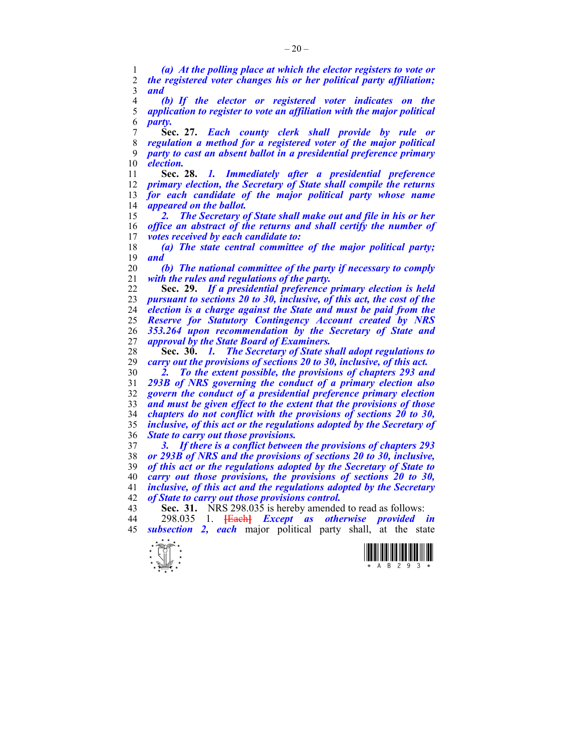*(a) At the polling place at which the elector registers to vote or the registered voter changes his or her political party affiliation; and* 

*(b) If the elector or registered voter indicates on the application to register to vote an affiliation with the major political party.*

**Sec. 27.** *Each county clerk shall provide by rule or regulation a method for a registered voter of the major political party to cast an absent ballot in a presidential preference primary election.*

**Sec. 28.** *1. Immediately after a presidential preference primary election, the Secretary of State shall compile the returns for each candidate of the major political party whose name appeared on the ballot.* 

*2. The Secretary of State shall make out and file in his or her office an abstract of the returns and shall certify the number of votes received by each candidate to:* 

*(a) The state central committee of the major political party; and* 

*(b) The national committee of the party if necessary to comply with the rules and regulations of the party.* 

**Sec. 29.** *If a presidential preference primary election is held pursuant to sections 20 to 30, inclusive, of this act, the cost of the election is a charge against the State and must be paid from the Reserve for Statutory Contingency Account created by NRS 353.264 upon recommendation by the Secretary of State and approval by the State Board of Examiners.* 

**Sec. 30.** *1. The Secretary of State shall adopt regulations to carry out the provisions of sections 20 to 30, inclusive, of this act.* 

*2. To the extent possible, the provisions of chapters 293 and 293B of NRS governing the conduct of a primary election also govern the conduct of a presidential preference primary election and must be given effect to the extent that the provisions of those chapters do not conflict with the provisions of sections 20 to 30, inclusive, of this act or the regulations adopted by the Secretary of State to carry out those provisions.* 

*3. If there is a conflict between the provisions of chapters 293 or 293B of NRS and the provisions of sections 20 to 30, inclusive, of this act or the regulations adopted by the Secretary of State to carry out those provisions, the provisions of sections 20 to 30, inclusive, of this act and the regulations adopted by the Secretary of State to carry out those provisions control.*  **Sec. 31.** NRS 298.035 is hereby amended to read as follows:

44 298.035 1. **[**Each**]** *Except as otherwise provided in* 

*subsection 2, each* major political party shall, at the state



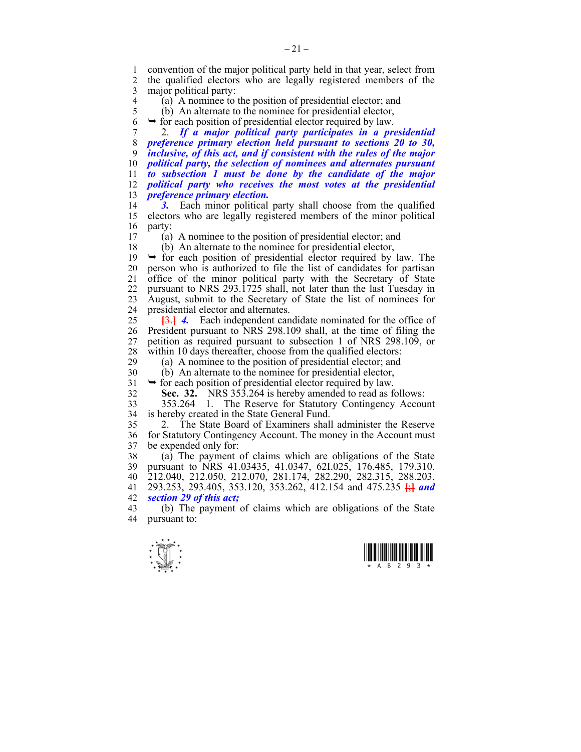1 convention of the major political party held in that year, select from<br>2 the qualified electors who are legally registered members of the 2 the qualified electors who are legally registered members of the 3 major political party:

4 (a) A nominee to the position of presidential elector; and (b) An alternate to the nominee for presidential elector,

 $\overline{b}$ ) An alternate to the nominee for presidential elector,

 $6 \rightarrow$  for each position of presidential elector required by law.

7 2. *If a major political party participates in a presidential preference primary election held pursuant to sections 20 to 30, inclusive, of this act, and if consistent with the rules of the major political party, the selection of nominees and alternates pursuant to subsection 1 must be done by the candidate of the major political party who receives the most votes at the presidential preference primary election.* 

14 *3.* Each minor political party shall choose from the qualified 15 electors who are legally registered members of the minor political 16 party:

17 (a) A nominee to the position of presidential elector; and

18 (b) An alternate to the nominee for presidential elector,

 $19 \rightarrow$  for each position of presidential elector required by law. The 20 person who is authorized to file the list of candidates for partisan 21 office of the minor political party with the Secretary of State 22 pursuant to NRS 293.1725 shall, not later than the last Tuesday in 23 August, submit to the Secretary of State the list of nominees for 24 presidential elector and alternates.

25 **[**3.**]** *4.* Each independent candidate nominated for the office of 26 President pursuant to NRS 298.109 shall, at the time of filing the 27 petition as required pursuant to subsection 1 of NRS 298.109, or 28 within 10 days thereafter, choose from the qualified electors:<br>29 (a) A nominee to the position of presidential elector and

(a) A nominee to the position of presidential elector; and

30 (b) An alternate to the nominee for presidential elector,

 $31 \rightarrow$  for each position of presidential elector required by law.

32 **Sec. 32.** NRS 353.264 is hereby amended to read as follows:

33 353.264 1. The Reserve for Statutory Contingency Account 34 is hereby created in the State General Fund.

35 2. The State Board of Examiners shall administer the Reserve 36 for Statutory Contingency Account. The money in the Account must 37 be expended only for:

38 (a) The payment of claims which are obligations of the State 39 pursuant to NRS 41.03435, 41.0347, 62I.025, 176.485, 179.310, 40 212.040, 212.050, 212.070, 281.174, 282.290, 282.315, 288.203, 41 293.253, 293.405, 353.120, 353.262, 412.154 and 475.235 **[**;**]** *and*  42 *section 29 of this act;*

43 (b) The payment of claims which are obligations of the State 44 pursuant to: